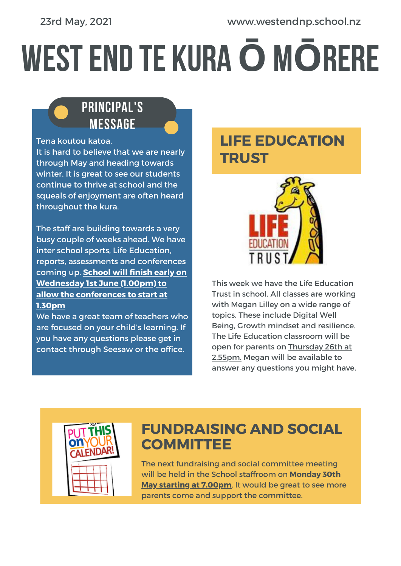#### 23rd May, 2021 www.westendnp.school.nz

# WESTEND TE KURA**Ō**M**Ō**RERE

#### PRINCIPAL'S MESSAGE

Tena koutou katoa,

It is hard to believe that we are nearly through May and heading towards winter. It is great to see our students continue to thrive at school and the squeals of enjoyment are often heard throughout the kura.

The staff are building towards a very busy couple of weeks ahead. We have inter school sports, Life Education, reports, assessments and conferences coming up. **School will finish early on Wednesday 1st June (1.00pm) to allow the conferences to start at 1.30pm**

We have a great team of teachers who are focused on your child's learning. If you have any questions please get in contact through Seesaw or the office.

## **LIFE EDUCATION TRUST**



This week we have the Life Education Trust in school. All classes are working with Megan Lilley on a wide range of topics. These include Digital Well Being, Growth mindset and resilience. The Life Education classroom will be open for parents on Thursday 26th at 2.55pm. Megan will be available to answer any questions you might have.



#### **FUNDRAISING AND SOCIAL COMMITTEE**

The next fundraising and social committee meeting will be held in the School staffroom on **Monday 30th May starting at 7.00pm**. It would be great to see more parents come and support the committee.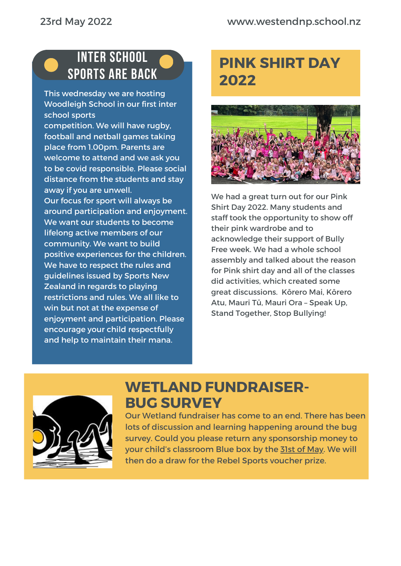#### INTER SCHOOL SPORTS ARE BACK

This wednesday we are hosting Woodleigh School in our first inter school sports

competition. We will have rugby, football and netball games taking place from 1.00pm. Parents are welcome to attend and we ask you to be covid responsible. Please social distance from the students and stay away if you are unwell.

Our focus for sport will always be around participation and enjoyment. We want our students to become lifelong active members of our community. We want to build positive experiences for the children. We have to respect the rules and guidelines issued by Sports New Zealand in regards to playing restrictions and rules. We all like to win but not at the expense of enjoyment and participation. Please encourage your child respectfully and help to maintain their mana.

# **PINK SHIRT DAY 2022**



We had a great turn out for our Pink Shirt Day 2022. Many students and staff took the opportunity to show off their pink wardrobe and to acknowledge their support of Bully Free week. We had a whole school assembly and talked about the reason for Pink shirt day and all of the classes did activities, which created some great discussions. Kōrero Mai, Kōrero Atu, Mauri Tū, Mauri Ora – Speak Up, Stand Together, Stop Bullying!



## **WETLAND FUNDRAISER-BUG SURVEY**

Our Wetland fundraiser has come to an end. There has been lots of discussion and learning happening around the bug survey. Could you please return any sponsorship money to your child's classroom Blue box by the 31st of May. We will then do a draw for the Rebel Sports voucher prize.